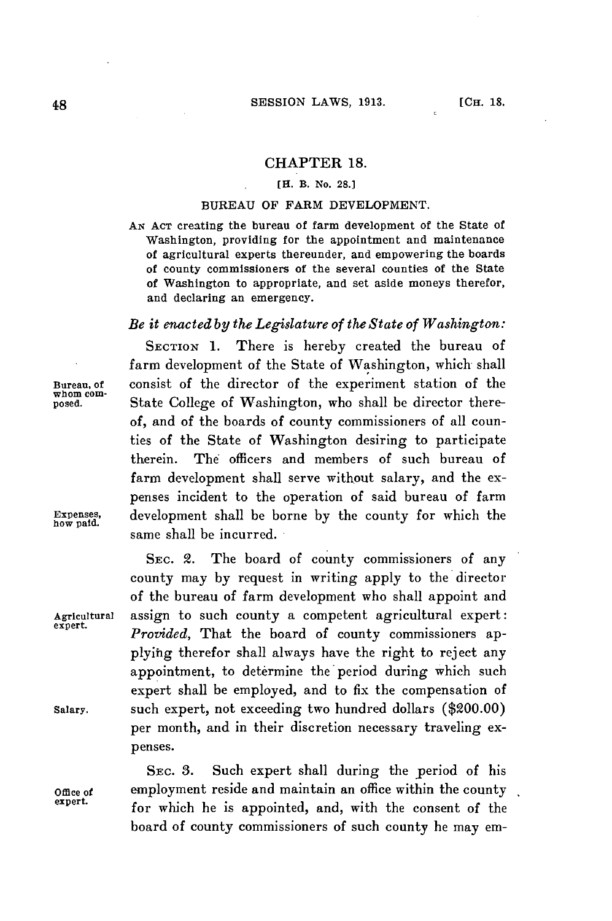### **CHAPTER 18.**

# **[H.** B. No. **28.1**

#### **BUREAU** OF FARM **DEVELOPMENT.**

**AN ACT** creating the bureau of farm development of the State of Washington, providing for the appointment and maintenance of agricultural experts thereunder, and empowering the boards of county commissioners of the several counties of the State of Washington to appropriate, and set aside moneys therefor, and declaring an emergency.

# *Be it enacted by the Legislature of the State of Washington:*

**SECTION 1.** There is hereby created the bureau of farm development of the State of Washington, which shall Bureau, of consist of the director of the experiment station of the whom com**whom com-** posed. State College of Washington, who shall be director thereof, and of the boards of county commissioners of all counties of the State of Washington desiring to participate therein. The officers and members of such bureau of farm development shall serve without salary, and the expenses incident to the operation of said bureau of farm **E** xpenses, development shall be borne **by** the county for which the same shall be incurred.

SEC. 2. The board of county commissioners of any county may **by** request in writing apply to the director of the bureau of farm development who shall appoint and Agricultural assign to such county a competent agricultural expert: Provided, That the board of county commissioners ap**plyihg** therefor shall always have the right to reject any appointment, to determine the period during which such expert shall be employed, and to fix the compensation of Salary. such expert, not exceeding two hundred dollars (\$200.00) per month, and in their discretion necessary traveling expenses.

SEC. **3.** Such expert shall during the period of his **Office of** employment reside and maintain an office within the county **expert.** for which he is appointed, and, with the consent of the board of county commissioners of such county he may em-

how paid.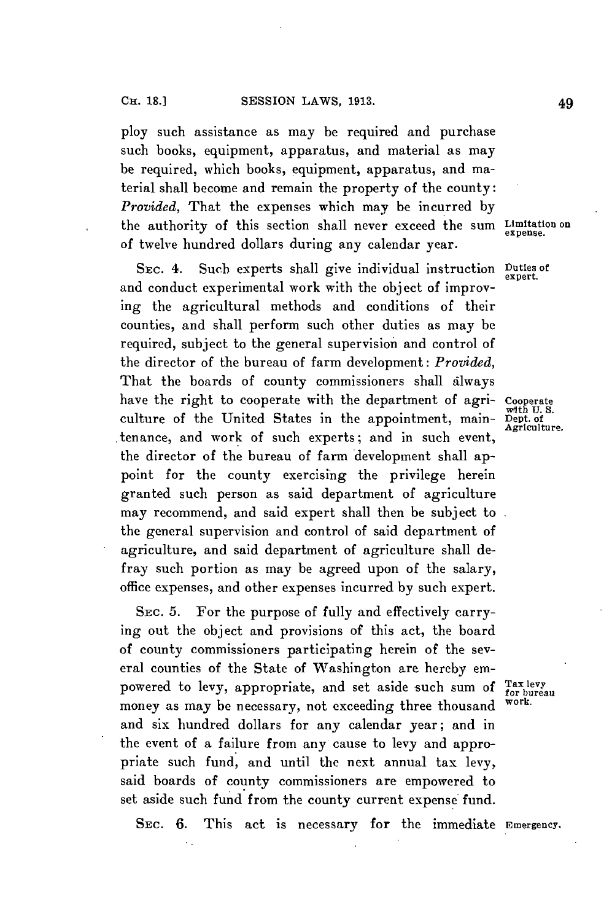ploy such assistance as may be required and purchase such books, equipment, apparatus, and material as may be required, which books, equipment, apparatus, and material shall become and remain the property of the county: *Provided,* That the expenses which may be incurred **by** the authority of this section shall never exceed the **sum Limitation on** expense. of twelve hundred dollars during any calendar year.

**SEC.** 4. Such experts shall give individual instruction **Duties of** and conduct experimental work with the object of improving the agricultural methods and conditions of their counties, and shall perform such other duties as may be required, subject to the general supervision and control of the director of the bureau of farm development: *Provided,* That the boards of county commissioners shall always have the right to cooperate with the department of agri- Cooperate culture of the United States in the appointment, main-  $\frac{w_{11}}{Agt1}$  of tenance, and work of such experts; and in such event, the director of the bureau of farm development shall appoint for the county exercising the privilege herein granted such person as said department of agriculture may recommend, and said expert shall then be subject to the general supervision and control of said department of agriculture, and said department of agriculture shall defray such portion as may be agreed upon of the salary, office expenses, and other expenses incurred **by** such expert.

**SEC. 5.** For the purpose of fully and effectively carrying out the object and provisions of this act, the board of county commissioners participating herein of the several counties of the State of Washington are hereby empowered to levy, appropriate, and set aside such sum of  $_{\text{for}}^{\text{Tax } \text{key}}$  **for bureau** money as may be necessary, not exceeding three thousand and six hundred dollars for any calendar year; and in the event of a failure from any cause to levy and appropriate such fund, and until the next annual tax levy, said boards of county commissioners are empowered to set aside such fund from the county current expense fund.

**SEC. 6.** This act is necessary for the immediate **Emergency.**

**expert.**